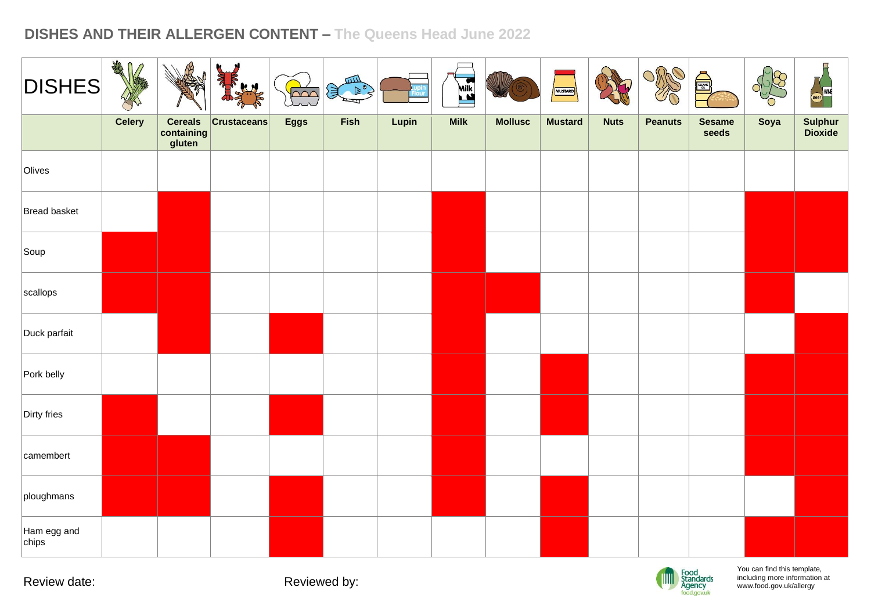| <b>DISHES</b>        | <b>THE</b><br>$\mathbb{M}$ |                                        | able-<br>KH        | $\overline{\text{C}}$ | 四<br>€ |       | Milk <sub>s</sub> |                | MUSTARD        |             | ORRO           | Å                      |      | <b>IN</b><br>Beer WNE |
|----------------------|----------------------------|----------------------------------------|--------------------|-----------------------|--------|-------|-------------------|----------------|----------------|-------------|----------------|------------------------|------|-----------------------|
|                      | <b>Celery</b>              | <b>Cereals</b><br>containing<br>gluten | <b>Crustaceans</b> | <b>Eggs</b>           | Fish   | Lupin | <b>Milk</b>       | <b>Mollusc</b> | <b>Mustard</b> | <b>Nuts</b> | <b>Peanuts</b> | <b>Sesame</b><br>seeds | Soya | Sulphur<br>Dioxide    |
| Olives               |                            |                                        |                    |                       |        |       |                   |                |                |             |                |                        |      |                       |
| Bread basket         |                            |                                        |                    |                       |        |       |                   |                |                |             |                |                        |      |                       |
| Soup                 |                            |                                        |                    |                       |        |       |                   |                |                |             |                |                        |      |                       |
| scallops             |                            |                                        |                    |                       |        |       |                   |                |                |             |                |                        |      |                       |
| Duck parfait         |                            |                                        |                    |                       |        |       |                   |                |                |             |                |                        |      |                       |
| Pork belly           |                            |                                        |                    |                       |        |       |                   |                |                |             |                |                        |      |                       |
| Dirty fries          |                            |                                        |                    |                       |        |       |                   |                |                |             |                |                        |      |                       |
| camembert            |                            |                                        |                    |                       |        |       |                   |                |                |             |                |                        |      |                       |
| ploughmans           |                            |                                        |                    |                       |        |       |                   |                |                |             |                |                        |      |                       |
| Ham egg and<br>chips |                            |                                        |                    |                       |        |       |                   |                |                |             |                |                        |      |                       |

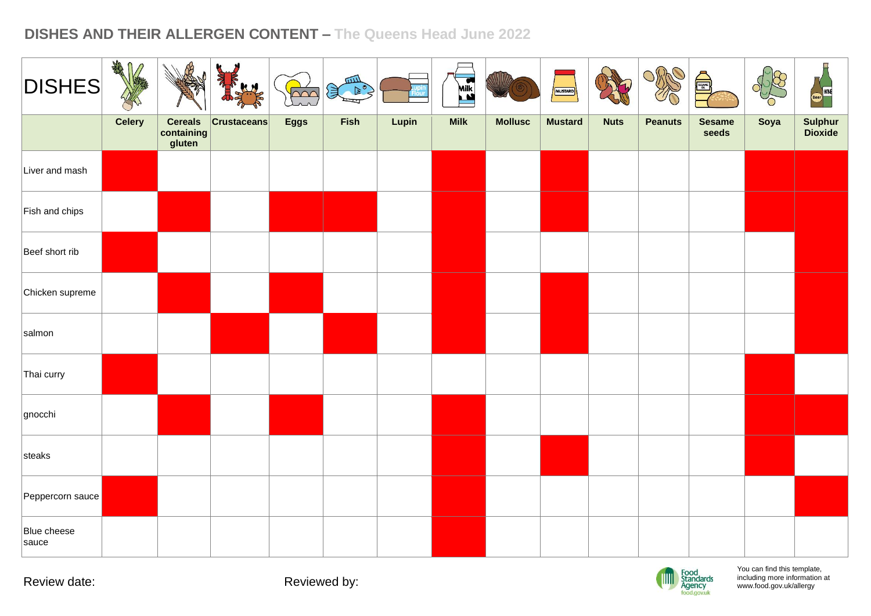| <b>DISHES</b>        | <b>THE</b>    |                                        | alfr<br>H.H        | $\overline{2}$ | 皿<br>$\mathbb{R}$<br>ستط |       | $\frac{\sum_{i=1}^{n} x_i}{\sum_{i=1}^{n} x_i}$ |                | MUSTARD        |             | ORRO           | é,                     |      | Beer WNE           |
|----------------------|---------------|----------------------------------------|--------------------|----------------|--------------------------|-------|-------------------------------------------------|----------------|----------------|-------------|----------------|------------------------|------|--------------------|
|                      | <b>Celery</b> | <b>Cereals</b><br>containing<br>gluten | <b>Crustaceans</b> | <b>Eggs</b>    | Fish                     | Lupin | <b>Milk</b>                                     | <b>Mollusc</b> | <b>Mustard</b> | <b>Nuts</b> | <b>Peanuts</b> | <b>Sesame</b><br>seeds | Soya | Sulphur<br>Dioxide |
| Liver and mash       |               |                                        |                    |                |                          |       |                                                 |                |                |             |                |                        |      |                    |
| Fish and chips       |               |                                        |                    |                |                          |       |                                                 |                |                |             |                |                        |      |                    |
| Beef short rib       |               |                                        |                    |                |                          |       |                                                 |                |                |             |                |                        |      |                    |
| Chicken supreme      |               |                                        |                    |                |                          |       |                                                 |                |                |             |                |                        |      |                    |
| salmon               |               |                                        |                    |                |                          |       |                                                 |                |                |             |                |                        |      |                    |
| Thai curry           |               |                                        |                    |                |                          |       |                                                 |                |                |             |                |                        |      |                    |
| gnocchi              |               |                                        |                    |                |                          |       |                                                 |                |                |             |                |                        |      |                    |
| steaks               |               |                                        |                    |                |                          |       |                                                 |                |                |             |                |                        |      |                    |
| Peppercorn sauce     |               |                                        |                    |                |                          |       |                                                 |                |                |             |                |                        |      |                    |
| Blue cheese<br>sauce |               |                                        |                    |                |                          |       |                                                 |                |                |             |                |                        |      |                    |

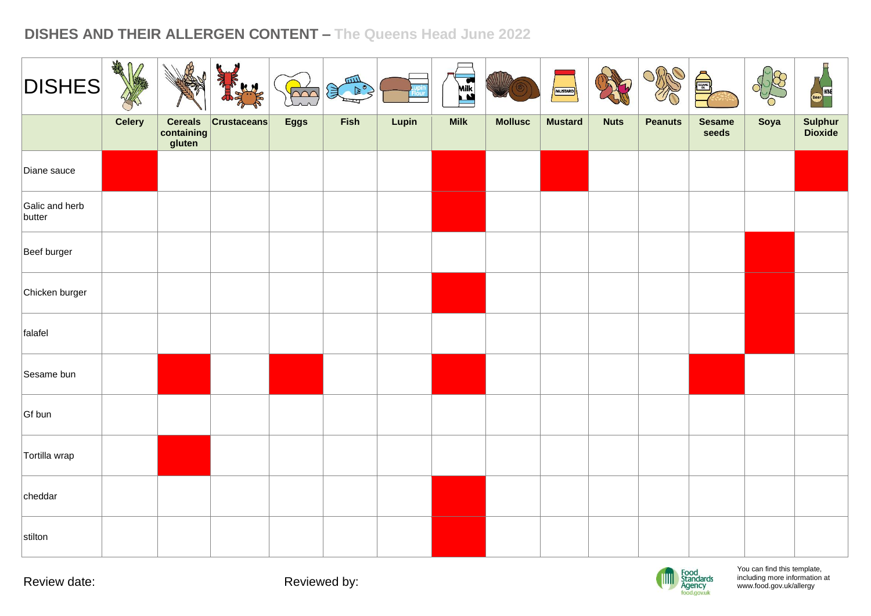| <b>DISHES</b>            | ART<br>⋂      |                                        | <b>KN</b>          | bor         | 皿<br>(美 下。 |       | EX          | WIIZ           | MUSTARD        |             | Ortho          | é,                     |      | Beer WNE           |
|--------------------------|---------------|----------------------------------------|--------------------|-------------|------------|-------|-------------|----------------|----------------|-------------|----------------|------------------------|------|--------------------|
|                          | <b>Celery</b> | <b>Cereals</b><br>containing<br>gluten | <b>Crustaceans</b> | <b>Eggs</b> | Fish       | Lupin | <b>Milk</b> | <b>Mollusc</b> | <b>Mustard</b> | <b>Nuts</b> | <b>Peanuts</b> | <b>Sesame</b><br>seeds | Soya | Sulphur<br>Dioxide |
| Diane sauce              |               |                                        |                    |             |            |       |             |                |                |             |                |                        |      |                    |
| Galic and herb<br>butter |               |                                        |                    |             |            |       |             |                |                |             |                |                        |      |                    |
| Beef burger              |               |                                        |                    |             |            |       |             |                |                |             |                |                        |      |                    |
| Chicken burger           |               |                                        |                    |             |            |       |             |                |                |             |                |                        |      |                    |
| falafel                  |               |                                        |                    |             |            |       |             |                |                |             |                |                        |      |                    |
| Sesame bun               |               |                                        |                    |             |            |       |             |                |                |             |                |                        |      |                    |
| Gf bun                   |               |                                        |                    |             |            |       |             |                |                |             |                |                        |      |                    |
| Tortilla wrap            |               |                                        |                    |             |            |       |             |                |                |             |                |                        |      |                    |
| cheddar                  |               |                                        |                    |             |            |       |             |                |                |             |                |                        |      |                    |
| stilton                  |               |                                        |                    |             |            |       |             |                |                |             |                |                        |      |                    |

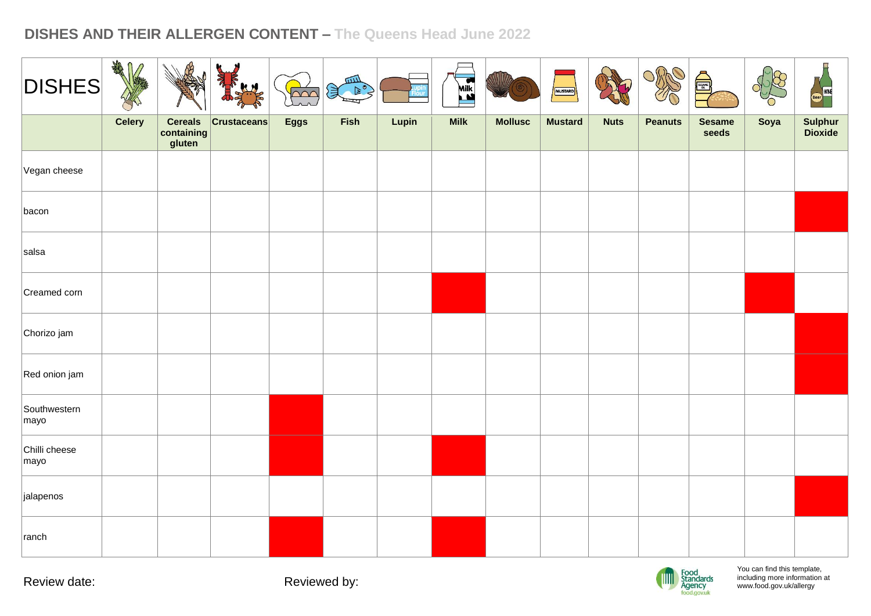| <b>DISHES</b>         | DE            |                                        |                    | $\overline{\wedge}\wedge$ | 皿<br>$\mathbb{R}^{\mathbf{c}}$<br>美 |       | EEN         |                | MUSTARD        |             | ORRO           | Å                      |      | WNE                |
|-----------------------|---------------|----------------------------------------|--------------------|---------------------------|-------------------------------------|-------|-------------|----------------|----------------|-------------|----------------|------------------------|------|--------------------|
|                       | <b>Celery</b> | <b>Cereals</b><br>containing<br>gluten | <b>Crustaceans</b> | <b>Eggs</b>               | Fish                                | Lupin | <b>Milk</b> | <b>Mollusc</b> | <b>Mustard</b> | <b>Nuts</b> | <b>Peanuts</b> | <b>Sesame</b><br>seeds | Soya | Sulphur<br>Dioxide |
| Vegan cheese          |               |                                        |                    |                           |                                     |       |             |                |                |             |                |                        |      |                    |
| bacon                 |               |                                        |                    |                           |                                     |       |             |                |                |             |                |                        |      |                    |
| salsa                 |               |                                        |                    |                           |                                     |       |             |                |                |             |                |                        |      |                    |
| Creamed corn          |               |                                        |                    |                           |                                     |       |             |                |                |             |                |                        |      |                    |
| Chorizo jam           |               |                                        |                    |                           |                                     |       |             |                |                |             |                |                        |      |                    |
| Red onion jam         |               |                                        |                    |                           |                                     |       |             |                |                |             |                |                        |      |                    |
| Southwestern<br>mayo  |               |                                        |                    |                           |                                     |       |             |                |                |             |                |                        |      |                    |
| Chilli cheese<br>mayo |               |                                        |                    |                           |                                     |       |             |                |                |             |                |                        |      |                    |
| jalapenos             |               |                                        |                    |                           |                                     |       |             |                |                |             |                |                        |      |                    |
| ranch                 |               |                                        |                    |                           |                                     |       |             |                |                |             |                |                        |      |                    |

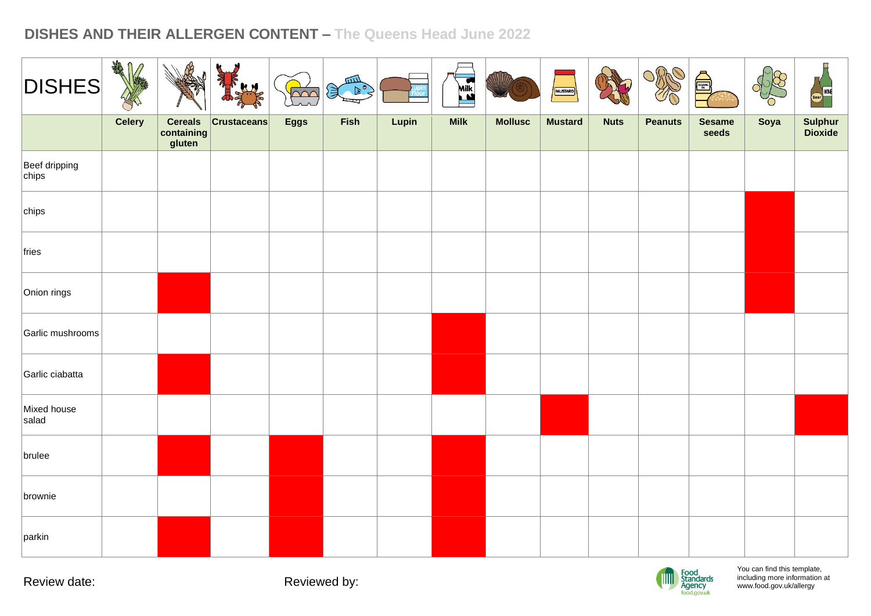| <b>DISHES</b>                    | DE            |                                        |                    | $\overline{C}$ | 皿<br>$\mathbb{R}^{\mathsf{c}}$<br>美 |       | <b>KEY</b>  | WILL           | MUSTARD        |             | O,<br>ORA      | SESAME DE              |      | Beer WNE           |
|----------------------------------|---------------|----------------------------------------|--------------------|----------------|-------------------------------------|-------|-------------|----------------|----------------|-------------|----------------|------------------------|------|--------------------|
|                                  | <b>Celery</b> | <b>Cereals</b><br>containing<br>gluten | <b>Crustaceans</b> | <b>Eggs</b>    | Fish                                | Lupin | <b>Milk</b> | <b>Mollusc</b> | <b>Mustard</b> | <b>Nuts</b> | <b>Peanuts</b> | <b>Sesame</b><br>seeds | Soya | Sulphur<br>Dioxide |
| Beef dripping<br>$ {\rm chips} $ |               |                                        |                    |                |                                     |       |             |                |                |             |                |                        |      |                    |
| chips                            |               |                                        |                    |                |                                     |       |             |                |                |             |                |                        |      |                    |
| fries                            |               |                                        |                    |                |                                     |       |             |                |                |             |                |                        |      |                    |
| Onion rings                      |               |                                        |                    |                |                                     |       |             |                |                |             |                |                        |      |                    |
| Garlic mushrooms                 |               |                                        |                    |                |                                     |       |             |                |                |             |                |                        |      |                    |
| Garlic ciabatta                  |               |                                        |                    |                |                                     |       |             |                |                |             |                |                        |      |                    |
| Mixed house<br>salad             |               |                                        |                    |                |                                     |       |             |                |                |             |                |                        |      |                    |
| brulee                           |               |                                        |                    |                |                                     |       |             |                |                |             |                |                        |      |                    |
| brownie                          |               |                                        |                    |                |                                     |       |             |                |                |             |                |                        |      |                    |
| parkin                           |               |                                        |                    |                |                                     |       |             |                |                |             |                |                        |      |                    |

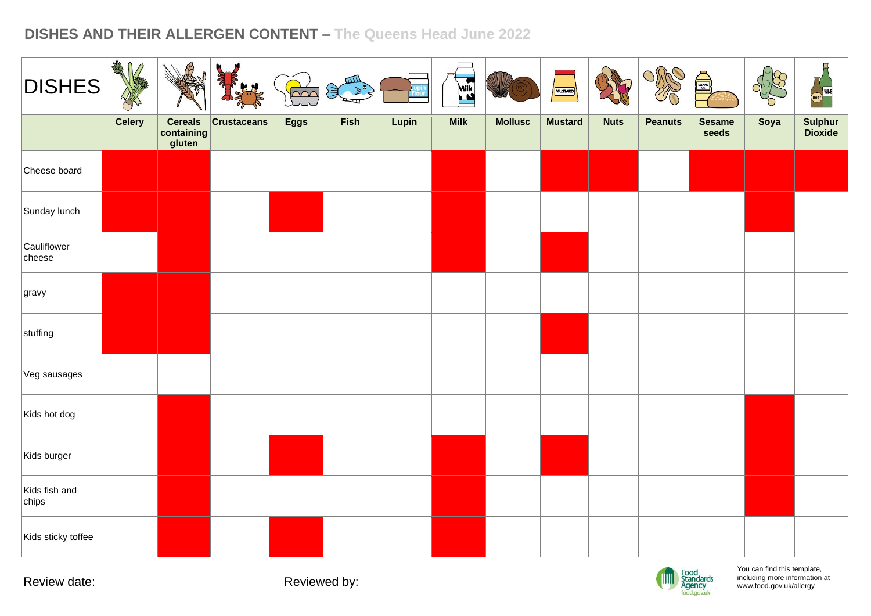| <b>DISHES</b>          | AMA<br>V      |                                        | abar-<br>AH        | $\frac{1}{\sqrt{2}}$ | $\mathbb{R}^{\frac{1}{\sqrt{2}}}$ |       | <b>Kill</b> | WIIZ           | MUSTARD        |             | ORRO           | JE                     |      | $\Box$<br>Beer WNE |
|------------------------|---------------|----------------------------------------|--------------------|----------------------|-----------------------------------|-------|-------------|----------------|----------------|-------------|----------------|------------------------|------|--------------------|
|                        | <b>Celery</b> | <b>Cereals</b><br>containing<br>gluten | <b>Crustaceans</b> | <b>Eggs</b>          | Fish                              | Lupin | <b>Milk</b> | <b>Mollusc</b> | <b>Mustard</b> | <b>Nuts</b> | <b>Peanuts</b> | <b>Sesame</b><br>seeds | Soya | Sulphur<br>Dioxide |
| Cheese board           |               |                                        |                    |                      |                                   |       |             |                |                |             |                |                        |      |                    |
| Sunday lunch           |               |                                        |                    |                      |                                   |       |             |                |                |             |                |                        |      |                    |
| Cauliflower<br>cheese  |               |                                        |                    |                      |                                   |       |             |                |                |             |                |                        |      |                    |
| gravy                  |               |                                        |                    |                      |                                   |       |             |                |                |             |                |                        |      |                    |
| stuffing               |               |                                        |                    |                      |                                   |       |             |                |                |             |                |                        |      |                    |
| Veg sausages           |               |                                        |                    |                      |                                   |       |             |                |                |             |                |                        |      |                    |
| Kids hot dog           |               |                                        |                    |                      |                                   |       |             |                |                |             |                |                        |      |                    |
| Kids burger            |               |                                        |                    |                      |                                   |       |             |                |                |             |                |                        |      |                    |
| Kids fish and<br>chips |               |                                        |                    |                      |                                   |       |             |                |                |             |                |                        |      |                    |
| Kids sticky toffee     |               |                                        |                    |                      |                                   |       |             |                |                |             |                |                        |      |                    |